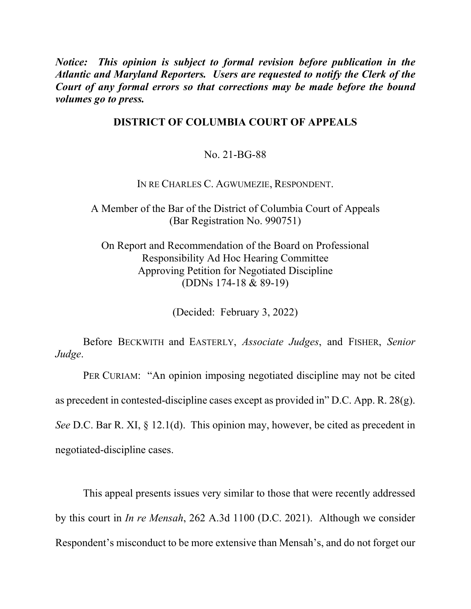*Notice: This opinion is subject to formal revision before publication in the Atlantic and Maryland Reporters. Users are requested to notify the Clerk of the Court of any formal errors so that corrections may be made before the bound volumes go to press.* 

## **DISTRICT OF COLUMBIA COURT OF APPEALS**

## No. 21-BG-88

IN RE CHARLES C. AGWUMEZIE, RESPONDENT.

A Member of the Bar of the District of Columbia Court of Appeals (Bar Registration No. 990751)

On Report and Recommendation of the Board on Professional Responsibility Ad Hoc Hearing Committee Approving Petition for Negotiated Discipline (DDNs 174-18 & 89-19)

(Decided: February 3, 2022)

Before BECKWITH and EASTERLY, *Associate Judges*, and FISHER, *Senior Judge*.

PER CURIAM: "An opinion imposing negotiated discipline may not be cited as precedent in contested-discipline cases except as provided in" D.C. App. R. 28(g). *See* D.C. Bar R. XI, § 12.1(d). This opinion may, however, be cited as precedent in negotiated-discipline cases.

This appeal presents issues very similar to those that were recently addressed by this court in *In re Mensah*, 262 A.3d 1100 (D.C. 2021). Although we consider Respondent's misconduct to be more extensive than Mensah's, and do not forget our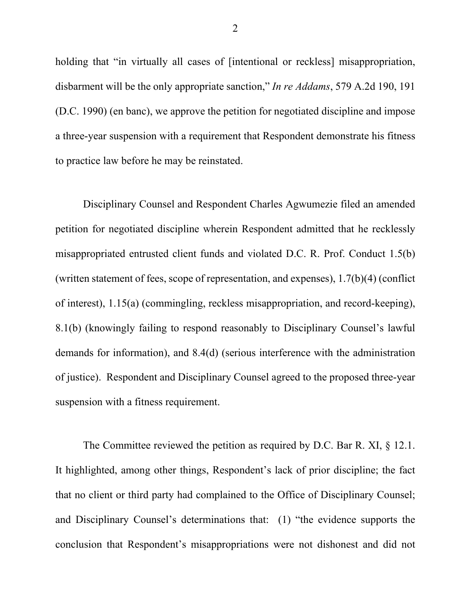holding that "in virtually all cases of [intentional or reckless] misappropriation, disbarment will be the only appropriate sanction," *In re Addams*, 579 A.2d 190, 191 (D.C. 1990) (en banc), we approve the petition for negotiated discipline and impose a three-year suspension with a requirement that Respondent demonstrate his fitness to practice law before he may be reinstated.

Disciplinary Counsel and Respondent Charles Agwumezie filed an amended petition for negotiated discipline wherein Respondent admitted that he recklessly misappropriated entrusted client funds and violated D.C. R. Prof. Conduct 1.5(b) (written statement of fees, scope of representation, and expenses), 1.7(b)(4) (conflict of interest), 1.15(a) (commingling, reckless misappropriation, and record-keeping), 8.1(b) (knowingly failing to respond reasonably to Disciplinary Counsel's lawful demands for information), and 8.4(d) (serious interference with the administration of justice). Respondent and Disciplinary Counsel agreed to the proposed three-year suspension with a fitness requirement.

The Committee reviewed the petition as required by D.C. Bar R. XI, § 12.1. It highlighted, among other things, Respondent's lack of prior discipline; the fact that no client or third party had complained to the Office of Disciplinary Counsel; and Disciplinary Counsel's determinations that: (1) "the evidence supports the conclusion that Respondent's misappropriations were not dishonest and did not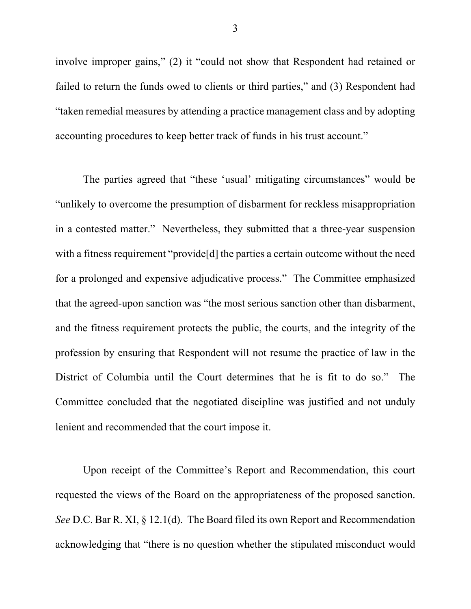involve improper gains," (2) it "could not show that Respondent had retained or failed to return the funds owed to clients or third parties," and (3) Respondent had "taken remedial measures by attending a practice management class and by adopting accounting procedures to keep better track of funds in his trust account."

The parties agreed that "these 'usual' mitigating circumstances" would be "unlikely to overcome the presumption of disbarment for reckless misappropriation in a contested matter." Nevertheless, they submitted that a three-year suspension with a fitness requirement "provide<sup>[d]</sup> the parties a certain outcome without the need for a prolonged and expensive adjudicative process." The Committee emphasized that the agreed-upon sanction was "the most serious sanction other than disbarment, and the fitness requirement protects the public, the courts, and the integrity of the profession by ensuring that Respondent will not resume the practice of law in the District of Columbia until the Court determines that he is fit to do so." The Committee concluded that the negotiated discipline was justified and not unduly lenient and recommended that the court impose it.

Upon receipt of the Committee's Report and Recommendation, this court requested the views of the Board on the appropriateness of the proposed sanction. *See* D.C. Bar R. XI, § 12.1(d). The Board filed its own Report and Recommendation acknowledging that "there is no question whether the stipulated misconduct would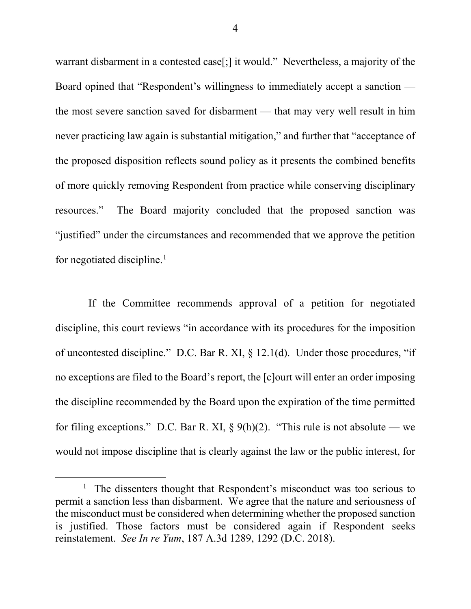warrant disbarment in a contested case[;] it would." Nevertheless, a majority of the Board opined that "Respondent's willingness to immediately accept a sanction the most severe sanction saved for disbarment — that may very well result in him never practicing law again is substantial mitigation," and further that "acceptance of the proposed disposition reflects sound policy as it presents the combined benefits of more quickly removing Respondent from practice while conserving disciplinary resources." The Board majority concluded that the proposed sanction was "justified" under the circumstances and recommended that we approve the petition for negotiated discipline.<sup>1</sup>

 If the Committee recommends approval of a petition for negotiated discipline, this court reviews "in accordance with its procedures for the imposition of uncontested discipline." D.C. Bar R. XI, § 12.1(d). Under those procedures, "if no exceptions are filed to the Board's report, the [c]ourt will enter an order imposing the discipline recommended by the Board upon the expiration of the time permitted for filing exceptions." D.C. Bar R. XI,  $\S$  9(h)(2). "This rule is not absolute — we would not impose discipline that is clearly against the law or the public interest, for

<sup>&</sup>lt;sup>1</sup> The dissenters thought that Respondent's misconduct was too serious to permit a sanction less than disbarment. We agree that the nature and seriousness of the misconduct must be considered when determining whether the proposed sanction is justified. Those factors must be considered again if Respondent seeks reinstatement. *See In re Yum*, 187 A.3d 1289, 1292 (D.C. 2018).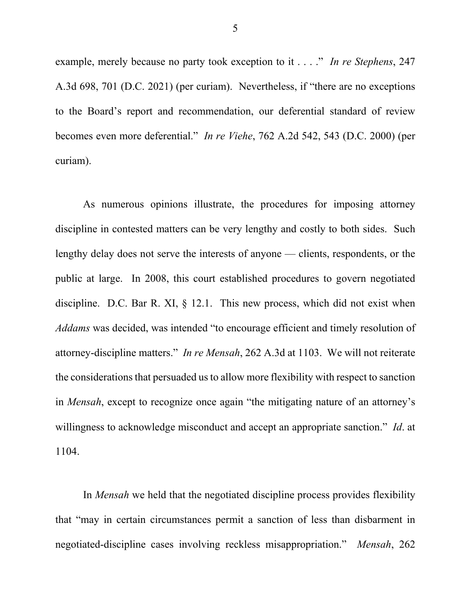example, merely because no party took exception to it . . . ." *In re Stephens*, 247 A.3d 698, 701 (D.C. 2021) (per curiam). Nevertheless, if "there are no exceptions to the Board's report and recommendation, our deferential standard of review becomes even more deferential." *In re Viehe*, 762 A.2d 542, 543 (D.C. 2000) (per curiam).

As numerous opinions illustrate, the procedures for imposing attorney discipline in contested matters can be very lengthy and costly to both sides. Such lengthy delay does not serve the interests of anyone — clients, respondents, or the public at large. In 2008, this court established procedures to govern negotiated discipline. D.C. Bar R. XI, § 12.1. This new process, which did not exist when *Addams* was decided, was intended "to encourage efficient and timely resolution of attorney-discipline matters." *In re Mensah*, 262 A.3d at 1103. We will not reiterate the considerations that persuaded us to allow more flexibility with respect to sanction in *Mensah*, except to recognize once again "the mitigating nature of an attorney's willingness to acknowledge misconduct and accept an appropriate sanction." *Id*. at 1104.

 In *Mensah* we held that the negotiated discipline process provides flexibility that "may in certain circumstances permit a sanction of less than disbarment in negotiated-discipline cases involving reckless misappropriation." *Mensah*, 262